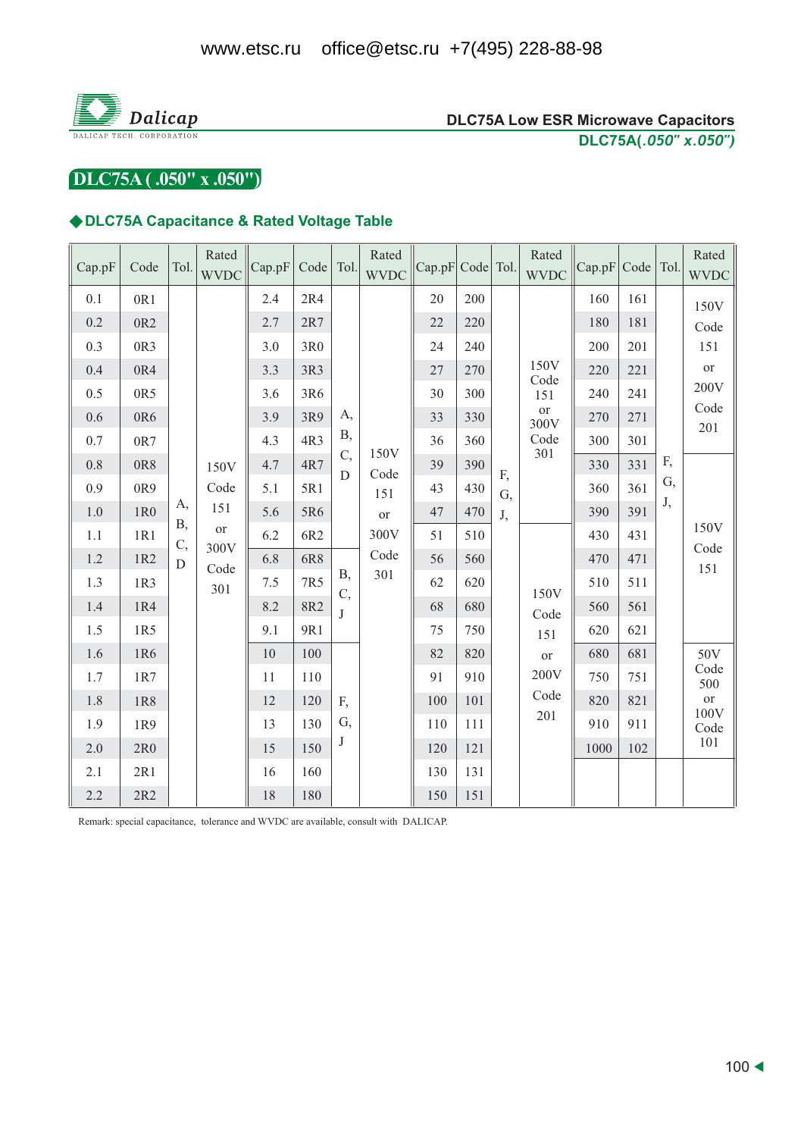

### **DLC75A Low ESR Microwave Capacitors** DLC75A(.050" x.050")

DLC75A (.050" x .050")

### ◆DLC75A Capacitance & Rated Voltage Table

| Cap.pF  | Code            | Tol.             | Rated<br><b>WVDC</b> | Cap.pF | Code Tol.       |                  | Rated<br><b>WVDC</b> | Cap.pF Code Tol. |     |    | Rated<br><b>WVDC</b> | Cap.pF | Code   Tol. |     | Rated<br><b>WVDC</b> |  |  |
|---------|-----------------|------------------|----------------------|--------|-----------------|------------------|----------------------|------------------|-----|----|----------------------|--------|-------------|-----|----------------------|--|--|
| 0.1     | 0R1             |                  |                      | 2.4    | 2R4             |                  |                      | 20               | 200 |    |                      | 160    | 161         |     | 150V                 |  |  |
| 0.2     | 0R <sub>2</sub> |                  |                      | 2.7    | 2R7             |                  |                      | 22               | 220 |    |                      | 180    | 181         |     | Code                 |  |  |
| 0.3     | 0R3             |                  |                      | 3.0    | 3R <sub>0</sub> |                  |                      | 24               | 240 |    |                      | 200    | 201         |     | 151                  |  |  |
| 0.4     | 0R4             |                  |                      | 3.3    | 3R3             |                  |                      | 27               | 270 |    | 150V<br>Code         | 220    | 221         |     | or                   |  |  |
| 0.5     | 0R5             |                  |                      | 3.6    | 3R6             |                  |                      | 30               | 300 |    | 151                  | 240    | 241         |     | 200V                 |  |  |
| 0.6     | 0R6             |                  |                      | 3.9    | 3R9             | А,               |                      | 33               | 330 |    | <b>or</b><br>300V    | 270    | 271         |     | Code<br>201          |  |  |
| 0.7     | 0R7             |                  |                      | 4.3    | 4R3             | <b>B</b> ,       | 150V                 | 36               | 360 |    | Code<br>301          | 300    | 301         |     |                      |  |  |
| 0.8     | 0R8             |                  | 150V                 | 4.7    | 4R7             | C,<br>D          | Code                 | 39               | 390 | F, |                      | 330    | 331         | F,  |                      |  |  |
| 0.9     | 0R9             |                  | Code                 | 5.1    | 5R1             |                  | 151                  | 43               | 430 | G, |                      | 360    | 361         | G,  |                      |  |  |
| 1.0     | 1R <sub>0</sub> | A,<br><b>B</b> , | 151                  | 5.6    | 5R6             |                  | <b>or</b>            | 47               | 470 | J, |                      | 390    | 391         | J,  |                      |  |  |
| $1.1\,$ | 1R1             | C,               | or<br>300V           | 6.2    | 6R2             |                  | 300V                 | 51               | 510 |    |                      | 430    | 431         |     | 150V<br>Code         |  |  |
| 1.2     | 1R2             | D                | Code                 | 6.8    | 6R8             |                  | Code                 | 56               | 560 |    |                      | 470    | 471         |     | 151                  |  |  |
| 1.3     | 1R3             |                  | 301                  | 7.5    | 7R5             | <b>B</b> ,<br>C, | 301                  | 62               | 620 |    | 150V                 | 510    | 511         |     |                      |  |  |
| 1.4     | 1R4             |                  |                      | 8.2    | 8R2             | T                |                      |                  |     |    | 68                   | 680    | Code        | 560 | 561                  |  |  |
| 1.5     | 1R5             |                  |                      | 9.1    | 9R1             |                  |                      | 75               | 750 |    | 151                  | 620    | 621         |     |                      |  |  |
| 1.6     | 1R6             |                  |                      | 10     | 100             |                  |                      | 82               | 820 |    | or                   | 680    | 681         |     | 50V                  |  |  |
| 1.7     | 1R7             |                  |                      | 11     | 110             |                  |                      | 91               | 910 |    | 200V                 | 750    | 751         |     | Code<br>500          |  |  |
| 1.8     | 1R8             |                  |                      | 12     | 120             | F,               |                      | 100              | 101 |    | Code                 | 820    | 821         |     | <b>or</b><br>100V    |  |  |
| 1.9     | 1R9             |                  |                      | 13     | 130             | G,               |                      | 110              | 111 |    | 201                  | 910    | 911         |     | Code                 |  |  |
| 2.0     | 2R <sub>0</sub> |                  |                      | 15     | 150             | J                |                      | 120              | 121 |    |                      | 1000   | 102         |     | 101                  |  |  |
| 2.1     | 2R1             |                  |                      | 16     | 160             |                  |                      | 130              | 131 |    |                      |        |             |     |                      |  |  |
| 2.2     | 2R2             |                  |                      | 18     | 180             |                  |                      | 150              | 151 |    |                      |        |             |     |                      |  |  |

Remark: special capacitance, tolerance and WVDC are available, consult with DALICAP.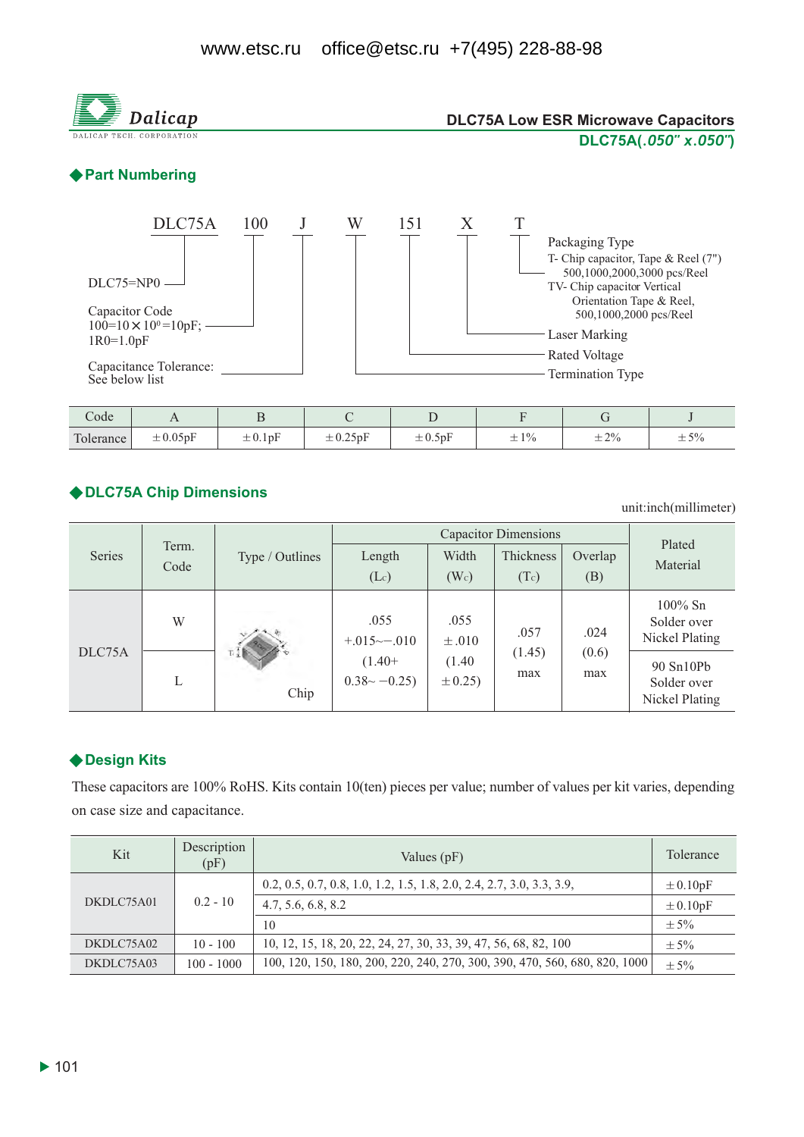

unit:inch(millimeter)

|        |               |                 |                               | Plated               |                       |                |                                             |
|--------|---------------|-----------------|-------------------------------|----------------------|-----------------------|----------------|---------------------------------------------|
| Series | Term.<br>Code | Type / Outlines | Length<br>(L <sub>c</sub> )   | Width<br>$(W_c)$     | Thickness<br>(Tc)     | Overlap<br>(B) | Material                                    |
| DLC75A | W             | Chip            | .055<br>$+.015 \sim -.010$    | .055<br>$\pm .010$   | .057<br>(1.45)<br>max | .024           | $100\%$ Sn<br>Solder over<br>Nickel Plating |
|        | L             |                 | $(1.40+$<br>$0.38 \sim -0.25$ | (1.40)<br>$\pm 0.25$ |                       | (0.6)<br>max   | 90 Sn10Pb<br>Solder over<br>Nickel Plating  |

## ◆ Design Kits

These capacitors are 100% RoHS. Kits contain 10(ten) pieces per value; number of values per kit varies, depending on case size and capacitance.

| Kit        | Description<br>(pF) | Values $(pF)$                                                              | Tolerance    |
|------------|---------------------|----------------------------------------------------------------------------|--------------|
|            |                     | 0.2, 0.5, 0.7, 0.8, 1.0, 1.2, 1.5, 1.8, 2.0, 2.4, 2.7, 3.0, 3.3, 3.9,      | $\pm 0.10pF$ |
| DKDLC75A01 | $0.2 - 10$          | 4.7, 5.6, 6.8, 8.2                                                         | $\pm 0.10pF$ |
|            |                     | 10                                                                         | $\pm$ 5%     |
| DKDLC75A02 | $10 - 100$          | 10, 12, 15, 18, 20, 22, 24, 27, 30, 33, 39, 47, 56, 68, 82, 100            | $\pm$ 5%     |
| DKDLC75A03 | $100 - 1000$        | 100, 120, 150, 180, 200, 220, 240, 270, 300, 390, 470, 560, 680, 820, 1000 | $\pm$ 5%     |